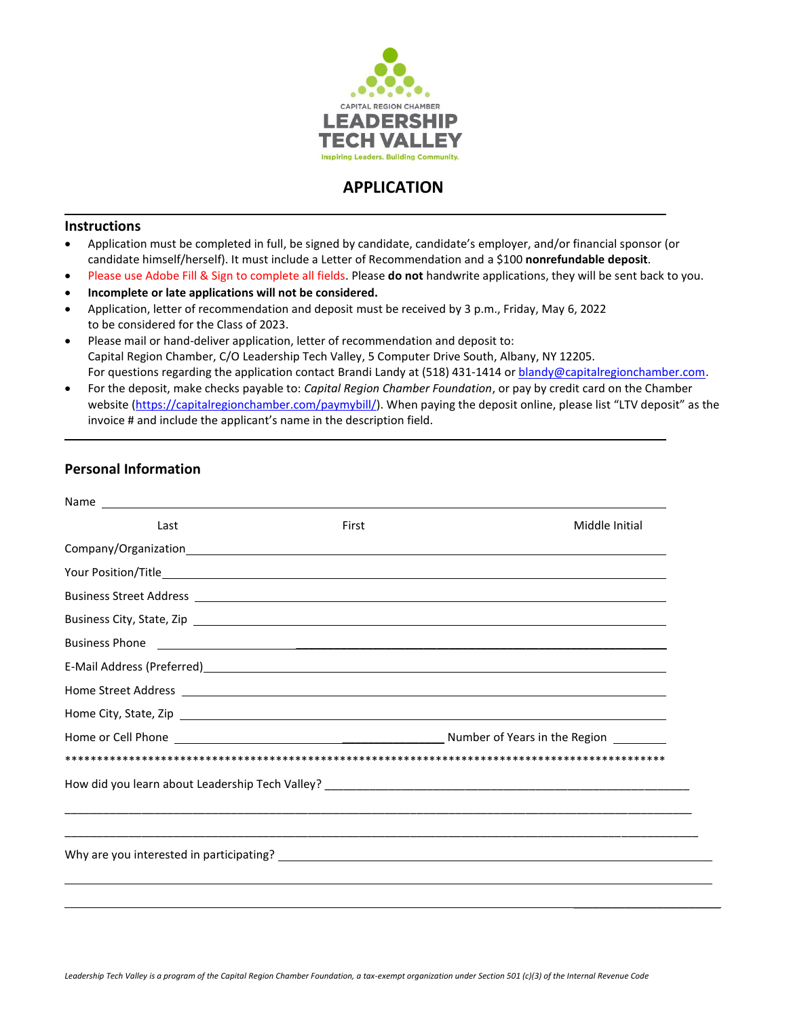

# **APPLICATION**

### **Instructions**

- Application must be completed in full, be signed by candidate, candidate's employer, and/or financial sponsor (or candidate himself/herself). It must include a Letter of Recommendation and a \$100 **nonrefundable deposit**.
- Please use Adobe Fill & Sign to complete all fields. Please **do not** handwrite applications, they will be sent back to you.
- **Incomplete or late applications will not be considered.**
- Application, letter of recommendation and deposit must be received by 3 p.m., Friday, May 6, 2022 to be considered for the Class of 2023.
- Please mail or hand-deliver application, letter of recommendation and deposit to: Capital Region Chamber, C/O Leadership Tech Valley, 5 Computer Drive South, Albany, NY 12205. For questions regarding the application contact Brandi Landy at (518) 431-1414 o[r blandy@capitalregionchamber.com.](mailto:blandy@capitalregionchamber.com)
- For the deposit, make checks payable to: *Capital Region Chamber Foundation*, or pay by credit card on the Chamber website [\(https://capitalregionchamber.com/paymybill/](https://capitalregionchamber.com/paymybill/)). When paying the deposit online, please list "LTV deposit" as the invoice # and include the applicant's name in the description field.

# **Personal Information**

| Last | First | Middle Initial                                                                                                                                                                                                                       |
|------|-------|--------------------------------------------------------------------------------------------------------------------------------------------------------------------------------------------------------------------------------------|
|      |       |                                                                                                                                                                                                                                      |
|      |       |                                                                                                                                                                                                                                      |
|      |       |                                                                                                                                                                                                                                      |
|      |       | Business City, State, Zip <u>example and the state of the state of the state of the state of the state of the state of the state of the state of the state of the state of the state of the state of the state of the state of t</u> |
|      |       | Business Phone <u>Production and Communications</u> and Communications and Communications and Communications and Communications and Communications and Communications and Communications and Communications and Communications and   |
|      |       |                                                                                                                                                                                                                                      |
|      |       |                                                                                                                                                                                                                                      |
|      |       |                                                                                                                                                                                                                                      |
|      |       |                                                                                                                                                                                                                                      |
|      |       |                                                                                                                                                                                                                                      |
|      |       |                                                                                                                                                                                                                                      |
|      |       |                                                                                                                                                                                                                                      |
|      |       |                                                                                                                                                                                                                                      |
|      |       |                                                                                                                                                                                                                                      |
|      |       |                                                                                                                                                                                                                                      |
|      |       |                                                                                                                                                                                                                                      |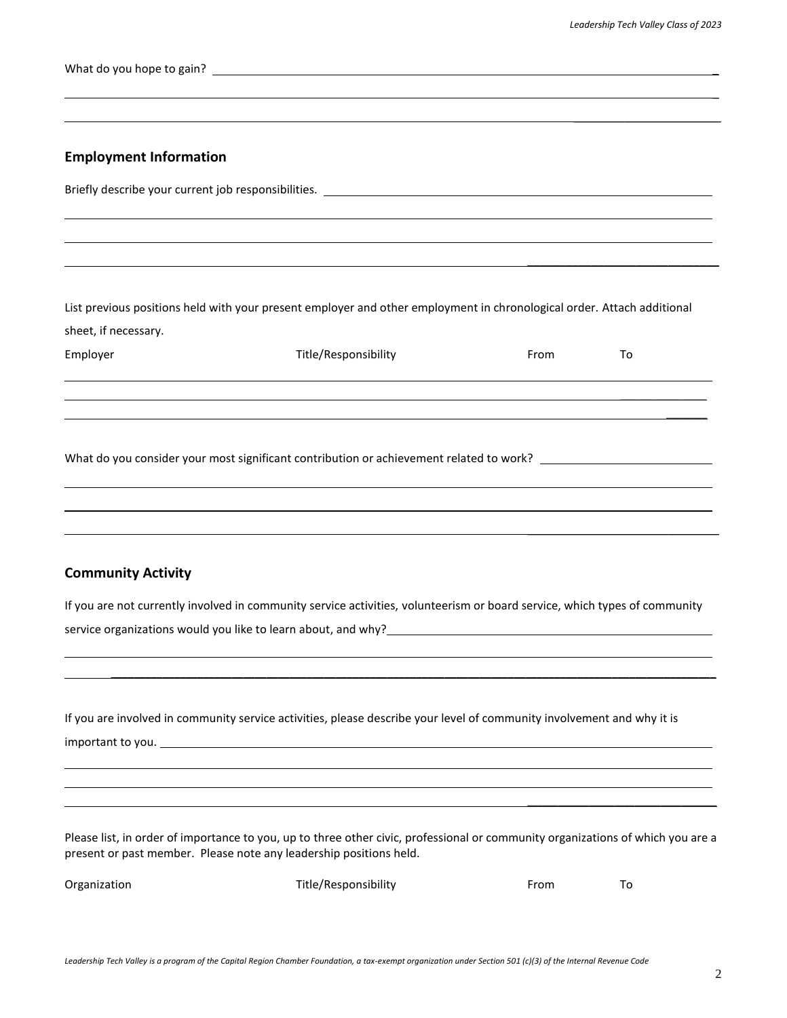$\overline{\phantom{a}}$  , where  $\overline{\phantom{a}}$  , where  $\overline{\phantom{a}}$  , where  $\overline{\phantom{a}}$ 

 $\overline{a}$ 

What do you hope to gain? \_

# **Employment Information**

|                           | <u> 1989 - Jan Samuel Barbara, margaret a shekara 1989 - Shekara ta 1989 - Shekara ta 1989 - Shekara ta 1980 - Sh</u>                                                                                                              |      |    |  |
|---------------------------|------------------------------------------------------------------------------------------------------------------------------------------------------------------------------------------------------------------------------------|------|----|--|
|                           |                                                                                                                                                                                                                                    |      |    |  |
|                           |                                                                                                                                                                                                                                    |      |    |  |
|                           |                                                                                                                                                                                                                                    |      |    |  |
|                           | List previous positions held with your present employer and other employment in chronological order. Attach additional                                                                                                             |      |    |  |
| sheet, if necessary.      |                                                                                                                                                                                                                                    |      |    |  |
| Employer                  | Title/Responsibility                                                                                                                                                                                                               | From | To |  |
|                           |                                                                                                                                                                                                                                    |      |    |  |
|                           | ,我们也不会有什么?""我们的人,我们也不会有什么?""我们的人,我们也不会有什么?""我们的人,我们也不会有什么?""我们的人,我们也不会有什么?""我们的人                                                                                                                                                   |      |    |  |
|                           | ,我们也不会有什么。""我们的人,我们也不会有什么?""我们的人,我们也不会有什么?""我们的人,我们也不会有什么?""我们的人,我们也不会有什么?""我们的人                                                                                                                                                   |      |    |  |
|                           |                                                                                                                                                                                                                                    |      |    |  |
|                           |                                                                                                                                                                                                                                    |      |    |  |
|                           | ,我们也不会有什么。""我们的人,我们也不会有什么?""我们的人,我们也不会有什么?""我们的人,我们也不会有什么?""我们的人,我们也不会有什么?""我们的人                                                                                                                                                   |      |    |  |
|                           |                                                                                                                                                                                                                                    |      |    |  |
|                           | ,我们也不会有什么?""我们的人,我们也不会有什么?""我们的人,我们也不会有什么?""我们的人,我们也不会有什么?""我们的人,我们也不会有什么?""我们的人                                                                                                                                                   |      |    |  |
|                           |                                                                                                                                                                                                                                    |      |    |  |
| <b>Community Activity</b> |                                                                                                                                                                                                                                    |      |    |  |
|                           | If you are not currently involved in community service activities, volunteerism or board service, which types of community                                                                                                         |      |    |  |
|                           | service organizations would you like to learn about, and why?<br>Service organizations would you like to learn about, and why?<br>All the manuscription and the context of the context of the context of the context of the contex |      |    |  |

If you are involved in community service activities, please describe your level of community involvement and why it is important to you.

\_\_\_\_\_\_\_\_\_\_\_\_\_\_\_\_\_\_\_\_\_\_\_\_\_\_\_\_\_\_\_\_\_\_\_\_\_\_\_\_\_\_\_\_\_\_\_\_\_\_\_\_\_\_\_\_\_\_\_\_\_\_\_\_\_\_\_\_\_\_\_\_\_\_\_\_\_\_\_\_\_\_\_\_\_\_\_\_\_\_\_\_\_\_\_\_\_\_\_\_\_\_\_\_\_

Please list, in order of importance to you, up to three other civic, professional or community organizations of which you are a present or past member. Please note any leadership positions held.

Organization Title/Responsibility From To

 $\overline{\phantom{a}}$  , and the contract of the contract of the contract of the contract of the contract of the contract of the contract of the contract of the contract of the contract of the contract of the contract of the contrac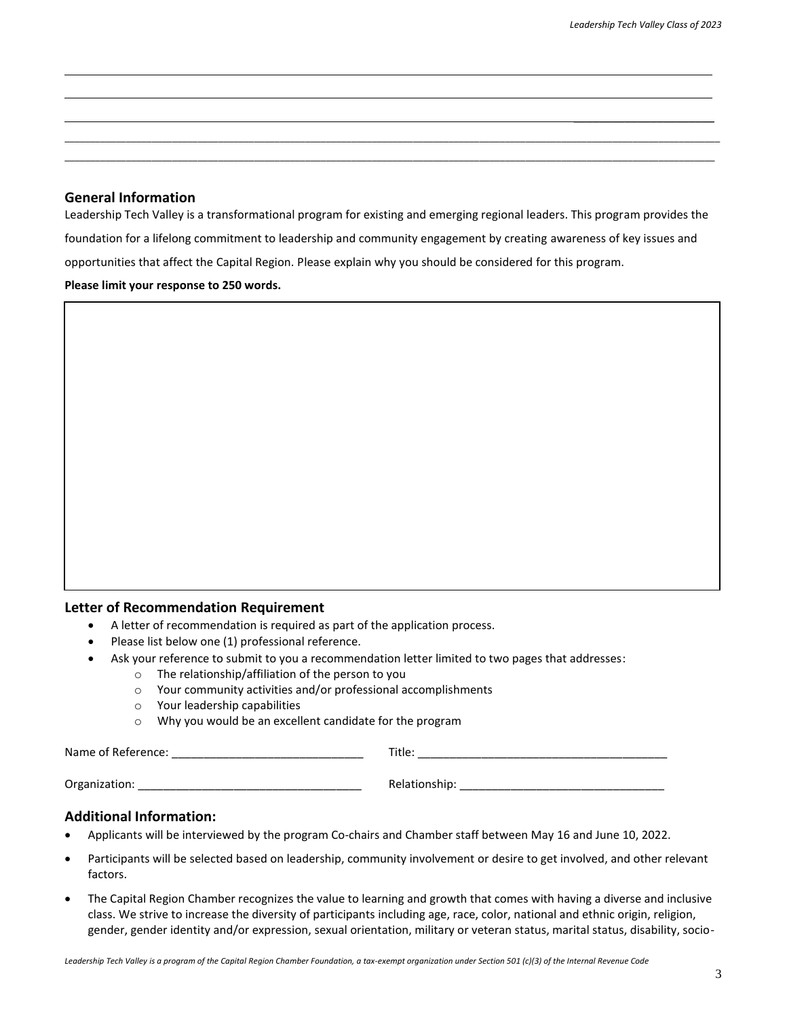$\overline{\phantom{a}}$  , where  $\overline{\phantom{a}}$  , where  $\overline{\phantom{a}}$  , where  $\overline{\phantom{a}}$ 

# **General Information**

Leadership Tech Valley is a transformational program for existing and emerging regional leaders. This program provides the foundation for a lifelong commitment to leadership and community engagement by creating awareness of key issues and opportunities that affect the Capital Region. Please explain why you should be considered for this program. **Please limit your response to 250 words.**

\_\_\_\_\_\_\_\_\_\_\_\_\_\_\_\_\_\_\_\_\_\_\_\_\_\_\_\_\_\_\_\_\_\_\_\_\_\_\_\_\_\_\_\_\_\_\_\_\_\_\_\_\_\_\_\_\_\_\_\_\_\_\_\_\_\_\_\_\_\_\_\_\_\_\_\_\_\_\_\_\_\_\_\_\_\_\_\_\_\_\_\_\_\_\_\_\_\_\_\_\_\_\_\_\_\_\_\_\_\_\_\_\_\_\_\_\_\_\_\_\_\_\_\_\_\_\_\_ \_\_\_\_\_\_\_\_\_\_\_\_\_\_\_\_\_\_\_\_\_\_\_\_\_\_\_\_\_\_\_\_\_\_\_\_\_\_\_\_\_\_\_\_\_\_\_\_\_\_\_\_\_\_\_\_\_\_\_\_\_\_\_\_\_\_\_\_\_\_\_\_\_\_\_\_\_\_\_\_\_\_\_\_\_\_\_\_\_\_\_\_\_\_\_\_\_\_\_\_\_\_\_\_\_\_\_\_\_\_\_\_\_\_\_\_\_\_\_\_\_\_\_\_\_\_\_

### **Letter of Recommendation Requirement**

- A letter of recommendation is required as part of the application process.
- Please list below one (1) professional reference.
- Ask your reference to submit to you a recommendation letter limited to two pages that addresses:
	- o The relationship/affiliation of the person to you
		- o Your community activities and/or professional accomplishments
		- o Your leadership capabilities
		- o Why you would be an excellent candidate for the program

Name of Reference: example and the set of  $\blacksquare$  and  $\blacksquare$  and  $\blacksquare$  and  $\blacksquare$  and  $\blacksquare$  and  $\blacksquare$ 

Organization: etc. and the contract of the contract of the Relationship:  $\blacksquare$ 

### **Additional Information:**

- Applicants will be interviewed by the program Co-chairs and Chamber staff between May 16 and June 10, 2022.
- Participants will be selected based on leadership, community involvement or desire to get involved, and other relevant factors.
- The Capital Region Chamber recognizes the value to learning and growth that comes with having a diverse and inclusive class. We strive to increase the diversity of participants including age, race, color, national and ethnic origin, religion, gender, gender identity and/or expression, sexual orientation, military or veteran status, marital status, disability, socio-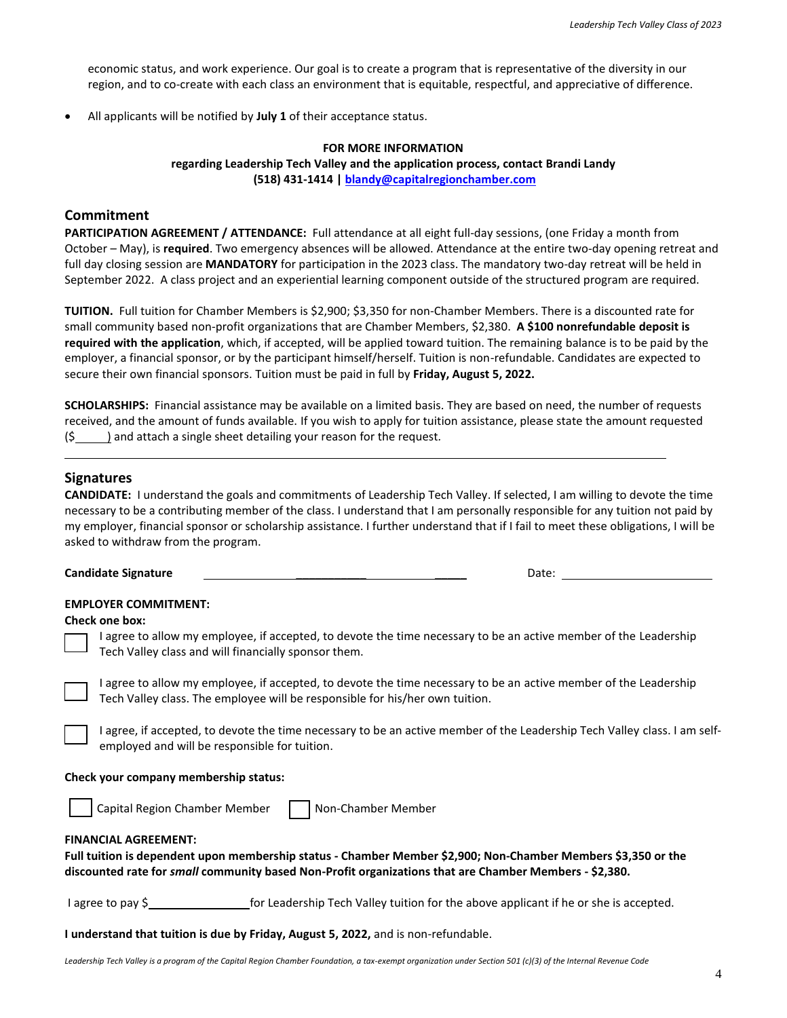economic status, and work experience. Our goal is to create a program that is representative of the diversity in our region, and to co-create with each class an environment that is equitable, respectful, and appreciative of difference.

• All applicants will be notified by **July 1** of their acceptance status.

#### **FOR MORE INFORMATION**

**regarding Leadership Tech Valley and the application process, contact Brandi Landy (518) 431-1414 [| blandy@capitalregionchamber.com](mailto:blandy@capitalregionchamber.com)**

### **Commitment**

**PARTICIPATION AGREEMENT / ATTENDANCE:** Full attendance at all eight full-day sessions, (one Friday a month from October – May), is **required**. Two emergency absences will be allowed. Attendance at the entire two-day opening retreat and full day closing session are **MANDATORY** for participation in the 2023 class. The mandatory two-day retreat will be held in September 2022. A class project and an experiential learning component outside of the structured program are required.

**TUITION.** Full tuition for Chamber Members is \$2,900; \$3,350 for non-Chamber Members. There is a discounted rate for small community based non-profit organizations that are Chamber Members, \$2,380. **A \$100 nonrefundable deposit is required with the application**, which, if accepted, will be applied toward tuition. The remaining balance is to be paid by the employer, a financial sponsor, or by the participant himself/herself. Tuition is non-refundable. Candidates are expected to secure their own financial sponsors. Tuition must be paid in full by **Friday, August 5, 2022.**

**SCHOLARSHIPS:** Financial assistance may be available on a limited basis. They are based on need, the number of requests received, and the amount of funds available. If you wish to apply for tuition assistance, please state the amount requested (\$ ) and attach a single sheet detailing your reason for the request*.*

### **Signatures**

**CANDIDATE:** I understand the goals and commitments of Leadership Tech Valley. If selected, I am willing to devote the time necessary to be a contributing member of the class. I understand that I am personally responsible for any tuition not paid by my employer, financial sponsor or scholarship assistance. I further understand that if I fail to meet these obligations, I will be asked to withdraw from the program.

**Candidate Signature Line 2020 Candidate Signature Line 2020 Candidate Signature Line 2020 Candidate Signature** 

#### **EMPLOYER COMMITMENT:**

#### **Check one box:**

I agree to allow my employee, if accepted, to devote the time necessary to be an active member of the Leadership Tech Valley class and will financially sponsor them.



I agree, if accepted, to devote the time necessary to be an active member of the Leadership Tech Valley class. I am selfemployed and will be responsible for tuition.

#### **Check your company membership status:**



Capital Region Chamber Member Non-Chamber Member

#### **FINANCIAL AGREEMENT:**

**Full tuition is dependent upon membership status - Chamber Member \$2,900; Non-Chamber Members \$3,350 or the discounted rate for** *small* **community based Non-Profit organizations that are Chamber Members - \$2,380.** 

I agree to pay \$<br> **I** agree to pay \$<br> **I** agree to pay \$

**I understand that tuition is due by Friday, August 5, 2022,** and is non-refundable.